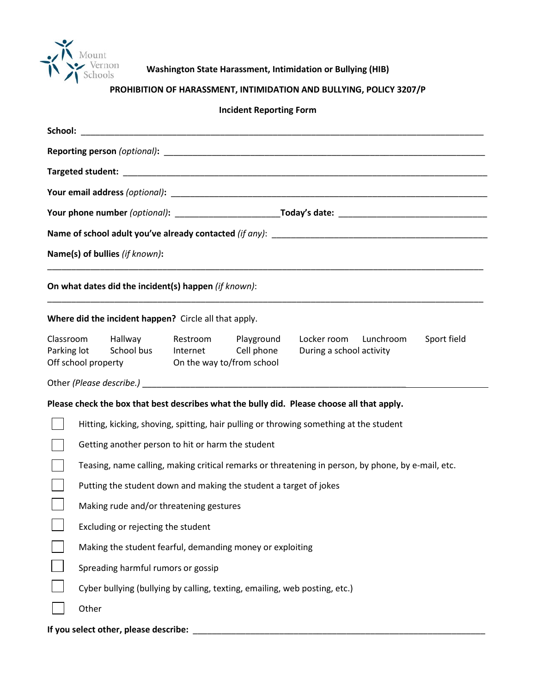

**Washington State Harassment, Intimidation or Bullying (HIB)**

## **PROHIBITION OF HARASSMENT, INTIMIDATION AND BULLYING, POLICY 3207/P**

## **Incident Reporting Form**

| School:<br><u> 1989 - Johann John Stone, markin film yn y brening yn y brening yn y brening yn y brening yn y brening yn y b</u> |                                                                                                    |                                       |                                                       |                                                       |                                                                                            |             |  |  |
|----------------------------------------------------------------------------------------------------------------------------------|----------------------------------------------------------------------------------------------------|---------------------------------------|-------------------------------------------------------|-------------------------------------------------------|--------------------------------------------------------------------------------------------|-------------|--|--|
|                                                                                                                                  |                                                                                                    |                                       |                                                       |                                                       |                                                                                            |             |  |  |
|                                                                                                                                  |                                                                                                    |                                       |                                                       |                                                       |                                                                                            |             |  |  |
|                                                                                                                                  |                                                                                                    |                                       |                                                       |                                                       |                                                                                            |             |  |  |
|                                                                                                                                  |                                                                                                    |                                       |                                                       |                                                       |                                                                                            |             |  |  |
|                                                                                                                                  |                                                                                                    |                                       |                                                       |                                                       |                                                                                            |             |  |  |
| Name(s) of bullies (if known):                                                                                                   |                                                                                                    |                                       |                                                       |                                                       |                                                                                            |             |  |  |
| On what dates did the incident(s) happen (if known):                                                                             |                                                                                                    |                                       |                                                       |                                                       |                                                                                            |             |  |  |
|                                                                                                                                  |                                                                                                    |                                       | Where did the incident happen? Circle all that apply. |                                                       |                                                                                            |             |  |  |
| Classroom<br>Parking lot<br>Off school property                                                                                  |                                                                                                    | Hallway<br>School bus                 | Restroom<br>Internet                                  | Playground<br>Cell phone<br>On the way to/from school | Lunchroom<br>Locker room<br>During a school activity                                       | Sport field |  |  |
|                                                                                                                                  |                                                                                                    |                                       |                                                       |                                                       |                                                                                            |             |  |  |
|                                                                                                                                  |                                                                                                    |                                       |                                                       |                                                       | Please check the box that best describes what the bully did. Please choose all that apply. |             |  |  |
|                                                                                                                                  | Hitting, kicking, shoving, spitting, hair pulling or throwing something at the student             |                                       |                                                       |                                                       |                                                                                            |             |  |  |
|                                                                                                                                  | Getting another person to hit or harm the student                                                  |                                       |                                                       |                                                       |                                                                                            |             |  |  |
|                                                                                                                                  | Teasing, name calling, making critical remarks or threatening in person, by phone, by e-mail, etc. |                                       |                                                       |                                                       |                                                                                            |             |  |  |
|                                                                                                                                  | Putting the student down and making the student a target of jokes                                  |                                       |                                                       |                                                       |                                                                                            |             |  |  |
|                                                                                                                                  | Making rude and/or threatening gestures                                                            |                                       |                                                       |                                                       |                                                                                            |             |  |  |
|                                                                                                                                  | Excluding or rejecting the student                                                                 |                                       |                                                       |                                                       |                                                                                            |             |  |  |
|                                                                                                                                  | Making the student fearful, demanding money or exploiting                                          |                                       |                                                       |                                                       |                                                                                            |             |  |  |
|                                                                                                                                  | Spreading harmful rumors or gossip                                                                 |                                       |                                                       |                                                       |                                                                                            |             |  |  |
|                                                                                                                                  | Cyber bullying (bullying by calling, texting, emailing, web posting, etc.)                         |                                       |                                                       |                                                       |                                                                                            |             |  |  |
|                                                                                                                                  | Other                                                                                              |                                       |                                                       |                                                       |                                                                                            |             |  |  |
|                                                                                                                                  |                                                                                                    | If you select other, please describe: |                                                       |                                                       |                                                                                            |             |  |  |